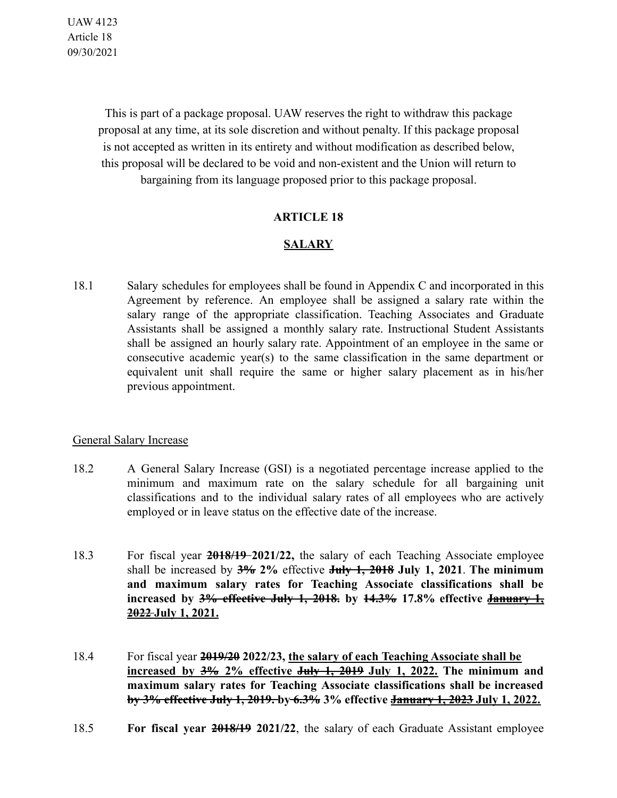UAW 4123 Article 18 09/30/2021

> This is part of a package proposal. UAW reserves the right to withdraw this package proposal at any time, at its sole discretion and without penalty. If this package proposal is not accepted as written in its entirety and without modification as described below, this proposal will be declared to be void and non-existent and the Union will return to bargaining from its language proposed prior to this package proposal.

## **ARTICLE 18**

## **SALARY**

18.1 Salary schedules for employees shall be found in Appendix C and incorporated in this Agreement by reference. An employee shall be assigned a salary rate within the salary range of the appropriate classification. Teaching Associates and Graduate Assistants shall be assigned a monthly salary rate. Instructional Student Assistants shall be assigned an hourly salary rate. Appointment of an employee in the same or consecutive academic year(s) to the same classification in the same department or equivalent unit shall require the same or higher salary placement as in his/her previous appointment.

## General Salary Increase

- 18.2 A General Salary Increase (GSI) is a negotiated percentage increase applied to the minimum and maximum rate on the salary schedule for all bargaining unit classifications and to the individual salary rates of all employees who are actively employed or in leave status on the effective date of the increase.
- 18.3 For fiscal year **2018/19 2021/22,** the salary of each Teaching Associate employee shall be increased by **3% 2%** effective **July 1, 2018 July 1, 2021**. **The minimum and maximum salary rates for Teaching Associate classifications shall be increased by 3% effective July 1, 2018. by 14.3% 17.8% effective January 1, 2022 July 1, 2021.**
- 18.4 For fiscal year **2019/20 2022/23, the salary of each Teaching Associate shall be increased by 3% 2% effective July 1, 2019 July 1, 2022. The minimum and maximum salary rates for Teaching Associate classifications shall be increased by 3% effective July 1, 2019. by 6.3% 3% effective January 1, 2023 July 1, 2022.**
- 18.5 **For fiscal year 2018/19 2021/22**, the salary of each Graduate Assistant employee